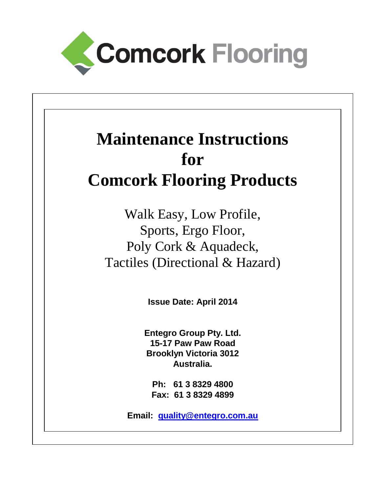

# **Maintenance Instructions for Comcork Flooring Products**

Walk Easy, Low Profile, Sports, Ergo Floor, Poly Cork & Aquadeck, Tactiles (Directional & Hazard)

**Issue Date: April 2014**

**Entegro Group Pty. Ltd. 15-17 Paw Paw Road Brooklyn Victoria 3012 Australia.**

**Ph: 61 3 8329 4800 Fax: 61 3 8329 4899**

**Email: quality@entegro.com.au**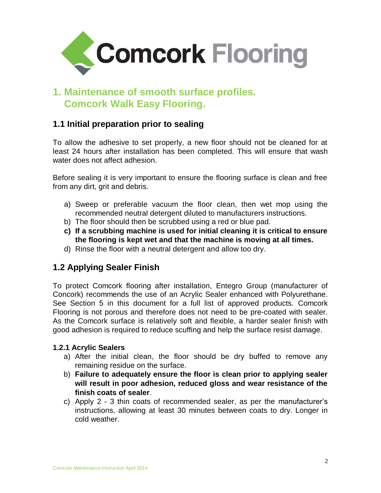

# **1. Maintenance of smooth surface profiles. Comcork Walk Easy Flooring.**

# **1.1 Initial preparation prior to sealing**

To allow the adhesive to set properly, a new floor should not be cleaned for at least 24 hours after installation has been completed. This will ensure that wash water does not affect adhesion.

Before sealing it is very important to ensure the flooring surface is clean and free from any dirt, grit and debris.

- a) Sweep or preferable vacuum the floor clean, then wet mop using the recommended neutral detergent diluted to manufacturers instructions.
- b) The floor should then be scrubbed using a red or blue pad.
- **c) If a scrubbing machine is used for initial cleaning it is critical to ensure the flooring is kept wet and that the machine is moving at all times.**
- d) Rinse the floor with a neutral detergent and allow too dry.

# **1.2 Applying Sealer Finish**

To protect Comcork flooring after installation, Entegro Group (manufacturer of Concork) recommends the use of an Acrylic Sealer enhanced with Polyurethane. See Section 5 in this document for a full list of approved products. Comcork Flooring is not porous and therefore does not need to be pre-coated with sealer. As the Comcork surface is relatively soft and flexible, a harder sealer finish with good adhesion is required to reduce scuffing and help the surface resist damage.

#### **1.2.1 Acrylic Sealers**

- a) After the initial clean, the floor should be dry buffed to remove any remaining residue on the surface.
- b) **Failure to adequately ensure the floor is clean prior to applying sealer will result in poor adhesion, reduced gloss and wear resistance of the finish coats of sealer**.
- c) Apply 2 3 thin coats of recommended sealer, as per the manufacturer's instructions, allowing at least 30 minutes between coats to dry. Longer in cold weather.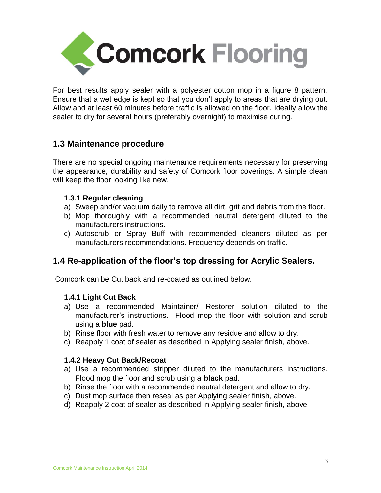

For best results apply sealer with a polyester cotton mop in a figure 8 pattern. Ensure that a wet edge is kept so that you don't apply to areas that are drying out. Allow and at least 60 minutes before traffic is allowed on the floor. Ideally allow the sealer to dry for several hours (preferably overnight) to maximise curing.

### **1.3 Maintenance procedure**

There are no special ongoing maintenance requirements necessary for preserving the appearance, durability and safety of Comcork floor coverings. A simple clean will keep the floor looking like new.

#### **1.3.1 Regular cleaning**

- a) Sweep and/or vacuum daily to remove all dirt, grit and debris from the floor.
- b) Mop thoroughly with a recommended neutral detergent diluted to the manufacturers instructions.
- c) Autoscrub or Spray Buff with recommended cleaners diluted as per manufacturers recommendations. Frequency depends on traffic.

# **1.4 Re-application of the floor's top dressing for Acrylic Sealers.**

Comcork can be Cut back and re-coated as outlined below.

#### **1.4.1 Light Cut Back**

- a) Use a recommended Maintainer/ Restorer solution diluted to the manufacturer's instructions. Flood mop the floor with solution and scrub using a **blue** pad.
- b) Rinse floor with fresh water to remove any residue and allow to dry.
- c) Reapply 1 coat of sealer as described in Applying sealer finish, above.

#### **1.4.2 Heavy Cut Back/Recoat**

- a) Use a recommended stripper diluted to the manufacturers instructions. Flood mop the floor and scrub using a **black** pad.
- b) Rinse the floor with a recommended neutral detergent and allow to dry.
- c) Dust mop surface then reseal as per Applying sealer finish, above.
- d) Reapply 2 coat of sealer as described in Applying sealer finish, above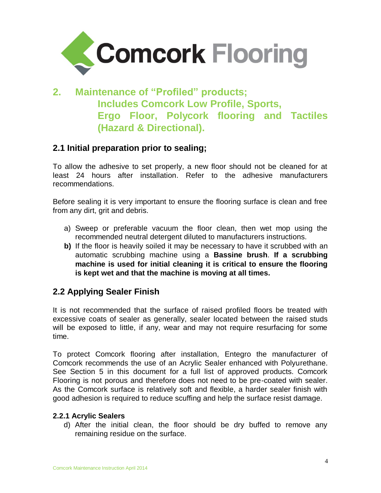

# **2. Maintenance of "Profiled" products; Includes Comcork Low Profile, Sports, Ergo Floor, Polycork flooring and Tactiles (Hazard & Directional).**

### **2.1 Initial preparation prior to sealing;**

To allow the adhesive to set properly, a new floor should not be cleaned for at least 24 hours after installation. Refer to the adhesive manufacturers recommendations.

Before sealing it is very important to ensure the flooring surface is clean and free from any dirt, grit and debris.

- a) Sweep or preferable vacuum the floor clean, then wet mop using the recommended neutral detergent diluted to manufacturers instructions.
- **b)** If the floor is heavily soiled it may be necessary to have it scrubbed with an automatic scrubbing machine using a **Bassine brush**. **If a scrubbing machine is used for initial cleaning it is critical to ensure the flooring is kept wet and that the machine is moving at all times.**

# **2.2 Applying Sealer Finish**

It is not recommended that the surface of raised profiled floors be treated with excessive coats of sealer as generally, sealer located between the raised studs will be exposed to little, if any, wear and may not require resurfacing for some time.

To protect Comcork flooring after installation, Entegro the manufacturer of Comcork recommends the use of an Acrylic Sealer enhanced with Polyurethane. See Section 5 in this document for a full list of approved products. Comcork Flooring is not porous and therefore does not need to be pre-coated with sealer. As the Comcork surface is relatively soft and flexible, a harder sealer finish with good adhesion is required to reduce scuffing and help the surface resist damage.

#### **2.2.1 Acrylic Sealers**

d) After the initial clean, the floor should be dry buffed to remove any remaining residue on the surface.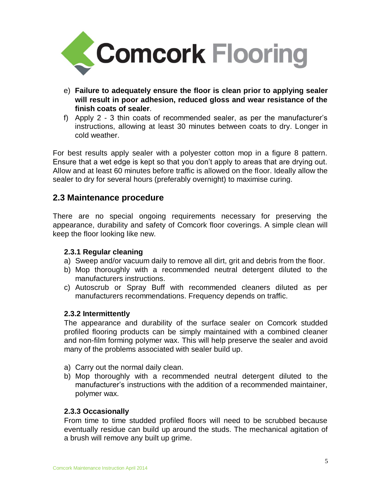

- e) **Failure to adequately ensure the floor is clean prior to applying sealer will result in poor adhesion, reduced gloss and wear resistance of the finish coats of sealer**.
- f) Apply 2 3 thin coats of recommended sealer, as per the manufacturer's instructions, allowing at least 30 minutes between coats to dry. Longer in cold weather.

For best results apply sealer with a polyester cotton mop in a figure 8 pattern. Ensure that a wet edge is kept so that you don't apply to areas that are drying out. Allow and at least 60 minutes before traffic is allowed on the floor. Ideally allow the sealer to dry for several hours (preferably overnight) to maximise curing.

### **2.3 Maintenance procedure**

There are no special ongoing requirements necessary for preserving the appearance, durability and safety of Comcork floor coverings. A simple clean will keep the floor looking like new.

#### **2.3.1 Regular cleaning**

- a) Sweep and/or vacuum daily to remove all dirt, grit and debris from the floor.
- b) Mop thoroughly with a recommended neutral detergent diluted to the manufacturers instructions.
- c) Autoscrub or Spray Buff with recommended cleaners diluted as per manufacturers recommendations. Frequency depends on traffic.

#### **2.3.2 Intermittently**

The appearance and durability of the surface sealer on Comcork studded profiled flooring products can be simply maintained with a combined cleaner and non-film forming polymer wax. This will help preserve the sealer and avoid many of the problems associated with sealer build up.

- a) Carry out the normal daily clean.
- b) Mop thoroughly with a recommended neutral detergent diluted to the manufacturer's instructions with the addition of a recommended maintainer, polymer wax.

#### **2.3.3 Occasionally**

From time to time studded profiled floors will need to be scrubbed because eventually residue can build up around the studs. The mechanical agitation of a brush will remove any built up grime.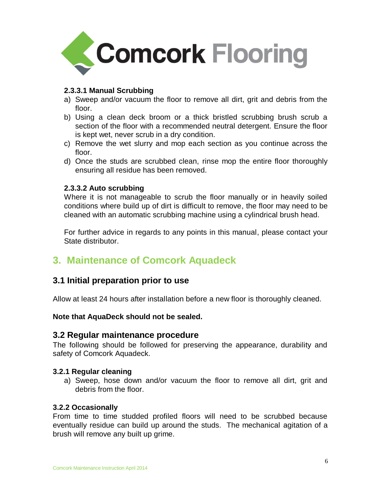

#### **2.3.3.1 Manual Scrubbing**

- a) Sweep and/or vacuum the floor to remove all dirt, grit and debris from the floor.
- b) Using a clean deck broom or a thick bristled scrubbing brush scrub a section of the floor with a recommended neutral detergent. Ensure the floor is kept wet, never scrub in a dry condition.
- c) Remove the wet slurry and mop each section as you continue across the floor.
- d) Once the studs are scrubbed clean, rinse mop the entire floor thoroughly ensuring all residue has been removed.

#### **2.3.3.2 Auto scrubbing**

Where it is not manageable to scrub the floor manually or in heavily soiled conditions where build up of dirt is difficult to remove, the floor may need to be cleaned with an automatic scrubbing machine using a cylindrical brush head.

For further advice in regards to any points in this manual, please contact your State distributor.

# **3. Maintenance of Comcork Aquadeck**

### **3.1 Initial preparation prior to use**

Allow at least 24 hours after installation before a new floor is thoroughly cleaned.

**Note that AquaDeck should not be sealed.** 

#### **3.2 Regular maintenance procedure**

The following should be followed for preserving the appearance, durability and safety of Comcork Aquadeck.

#### **3.2.1 Regular cleaning**

a) Sweep, hose down and/or vacuum the floor to remove all dirt, grit and debris from the floor.

#### **3.2.2 Occasionally**

From time to time studded profiled floors will need to be scrubbed because eventually residue can build up around the studs. The mechanical agitation of a brush will remove any built up grime.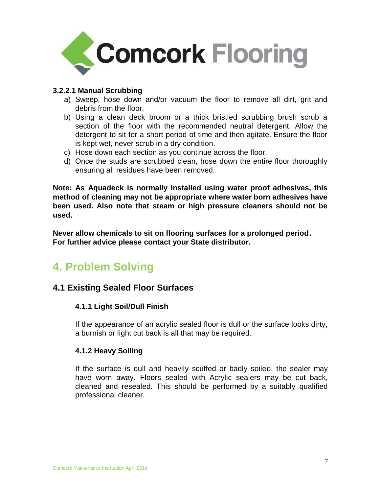

#### **3.2.2.1 Manual Scrubbing**

- a) Sweep, hose down and/or vacuum the floor to remove all dirt, grit and debris from the floor.
- b) Using a clean deck broom or a thick bristled scrubbing brush scrub a section of the floor with the recommended neutral detergent. Allow the detergent to sit for a short period of time and then agitate. Ensure the floor is kept wet, never scrub in a dry condition.
- c) Hose down each section as you continue across the floor.
- d) Once the studs are scrubbed clean, hose down the entire floor thoroughly ensuring all residues have been removed.

**Note: As Aquadeck is normally installed using water proof adhesives, this method of cleaning may not be appropriate where water born adhesives have been used. Also note that steam or high pressure cleaners should not be used.**

**Never allow chemicals to sit on flooring surfaces for a prolonged period. For further advice please contact your State distributor.**

# **4. Problem Solving**

### **4.1 Existing Sealed Floor Surfaces**

#### **4.1.1 Light Soil/Dull Finish**

If the appearance of an acrylic sealed floor is dull or the surface looks dirty, a burnish or light cut back is all that may be required.

#### **4.1.2 Heavy Soiling**

If the surface is dull and heavily scuffed or badly soiled, the sealer may have worn away. Floors sealed with Acrylic sealers may be cut back, cleaned and resealed. This should be performed by a suitably qualified professional cleaner.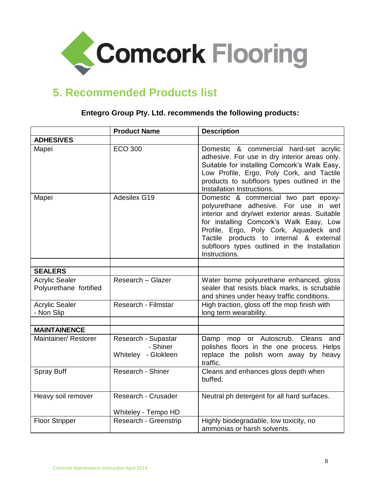

# **5. Recommended Products list**

|                                                 | <b>Product Name</b>                                    | <b>Description</b>                                                                                                                                                                                                                                                                                                               |
|-------------------------------------------------|--------------------------------------------------------|----------------------------------------------------------------------------------------------------------------------------------------------------------------------------------------------------------------------------------------------------------------------------------------------------------------------------------|
| <b>ADHESIVES</b>                                |                                                        |                                                                                                                                                                                                                                                                                                                                  |
| Mapei                                           | <b>ECO 300</b>                                         | Domestic & commercial hard-set acrylic<br>adhesive. For use in dry interior areas only.<br>Suitable for installing Comcork's Walk Easy,<br>Low Profile, Ergo, Poly Cork, and Tactile<br>products to subfloors types outlined in the<br>Installation Instructions.                                                                |
| Mapei                                           | Adesilex G19                                           | Domestic & commercial two part epoxy-<br>polyurethane adhesive. For use in wet<br>interior and dry/wet exterior areas. Suitable<br>for installing Comcork's Walk Easy, Low<br>Profile, Ergo, Poly Cork, Aquadeck and<br>Tactile products to internal & external<br>subfloors types outlined in the Installation<br>Instructions. |
| <b>SEALERS</b>                                  |                                                        |                                                                                                                                                                                                                                                                                                                                  |
| <b>Acrylic Sealer</b><br>Polyurethane fortified | Research - Glazer                                      | Water borne polyurethane enhanced, gloss<br>sealer that resists black marks, is scrubable<br>and shines under heavy traffic conditions.                                                                                                                                                                                          |
| <b>Acrylic Sealer</b><br>- Non Slip             | Research - Filmstar                                    | High traction, gloss off the mop finish with<br>long term wearability.                                                                                                                                                                                                                                                           |
|                                                 |                                                        |                                                                                                                                                                                                                                                                                                                                  |
| <b>MAINTAINENCE</b><br>Maintainer/ Restorer     | Research - Supastar<br>- Shiner<br>Whiteley - Glokleen | Damp mop or Autoscrub. Cleans and<br>polishes floors in the one process. Helps<br>replace the polish worn away by heavy<br>traffic.                                                                                                                                                                                              |
| <b>Spray Buff</b>                               | Research - Shiner                                      | Cleans and enhances gloss depth when<br>buffed.                                                                                                                                                                                                                                                                                  |
| Heavy soil remover                              | Research - Crusader<br>Whiteley - Tempo HD             | Neutral ph detergent for all hard surfaces.                                                                                                                                                                                                                                                                                      |
| <b>Floor Stripper</b>                           | Research - Greenstrip                                  | Highly biodegradable, low toxicity, no<br>ammonias or harsh solvents.                                                                                                                                                                                                                                                            |

#### **Entegro Group Pty. Ltd. recommends the following products:**